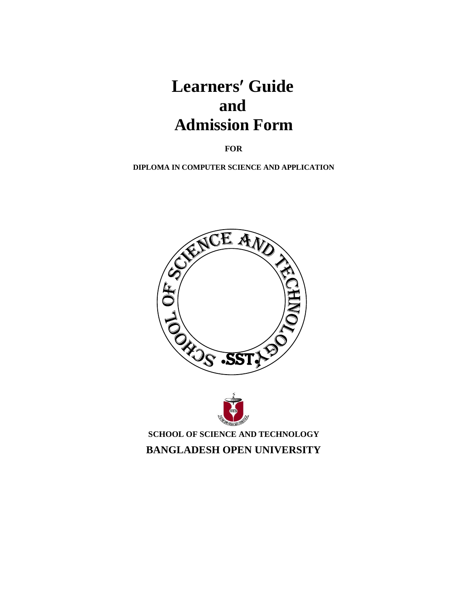# Learners' Guide **and Admission Form**

**FOR**

**DIPLOMA IN COMPUTER SCIENCE AND APPLICATION** 





**SCHOOL OF SCIENCE AND TECHNOLOGY BANGLADESH OPEN UNIVERSITY**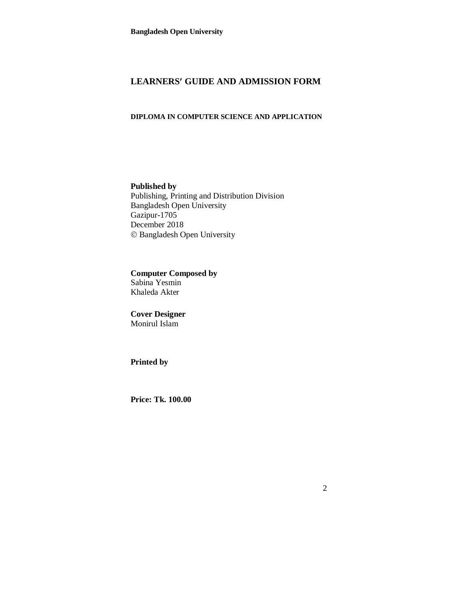# **LEARNERS GUIDE AND ADMISSION FORM**

# **DIPLOMA IN COMPUTER SCIENCE AND APPLICATION**

**Published by** Publishing, Printing and Distribution Division Bangladesh Open University Gazipur-1705 December 2018 Bangladesh Open University

**Computer Composed by** Sabina Yesmin Khaleda Akter

**Cover Designer** Monirul Islam

**Printed by**

**Price: Tk. 100.00**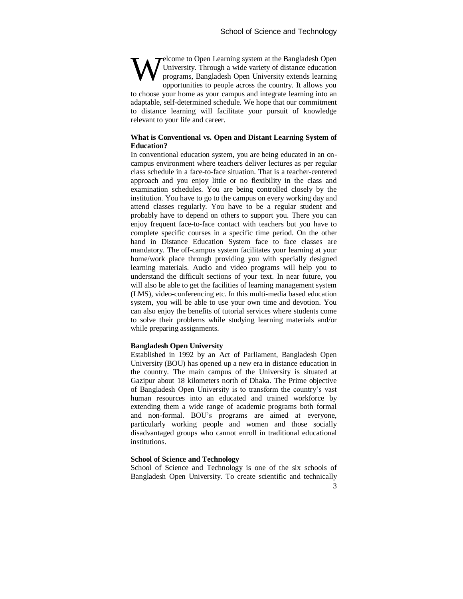elcome to Open Learning system at the Bangladesh Open University. Through a wide variety of distance education programs, Bangladesh Open University extends learning opportunities to people across the country. It allows you to choose your home as your campus and integrate learning into an adaptable, self-determined schedule. We hope that our commitment to distance learning will facilitate your pursuit of knowledge relevant to your life and career. W

#### **What is Conventional vs. Open and Distant Learning System of Education?**

In conventional education system, you are being educated in an oncampus environment where teachers deliver lectures as per regular class schedule in a face-to-face situation. That is a teacher-centered approach and you enjoy little or no flexibility in the class and examination schedules. You are being controlled closely by the institution. You have to go to the campus on every working day and attend classes regularly. You have to be a regular student and probably have to depend on others to support you. There you can enjoy frequent face-to-face contact with teachers but you have to complete specific courses in a specific time period. On the other hand in Distance Education System face to face classes are mandatory. The off-campus system facilitates your learning at your home/work place through providing you with specially designed learning materials. Audio and video programs will help you to understand the difficult sections of your text. In near future, you will also be able to get the facilities of learning management system (LMS), video-conferencing etc. In this multi-media based education system, you will be able to use your own time and devotion. You can also enjoy the benefits of tutorial services where students come to solve their problems while studying learning materials and/or while preparing assignments.

#### **Bangladesh Open University**

Established in 1992 by an Act of Parliament, Bangladesh Open University (BOU) has opened up a new era in distance education in the country. The main campus of the University is situated at Gazipur about 18 kilometers north of Dhaka. The Prime objective of Bangladesh Open University is to transform the country's vast human resources into an educated and trained workforce by extending them a wide range of academic programs both formal and non-formal. BOU's programs are aimed at everyone, particularly working people and women and those socially disadvantaged groups who cannot enroll in traditional educational institutions.

#### **School of Science and Technology**

School of Science and Technology is one of the six schools of Bangladesh Open University. To create scientific and technically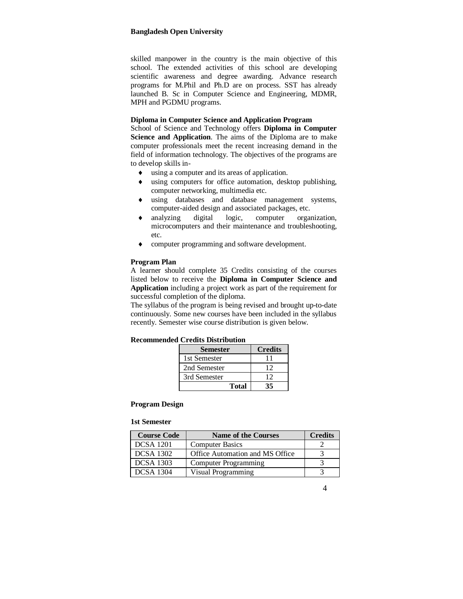skilled manpower in the country is the main objective of this school. The extended activities of this school are developing scientific awareness and degree awarding. Advance research programs for M.Phil and Ph.D are on process. SST has already launched B. Sc in Computer Science and Engineering, MDMR, MPH and PGDMU programs.

#### **Diploma in Computer Science and Application Program**

School of Science and Technology offers **Diploma in Computer**  Science and Application. The aims of the Diploma are to make computer professionals meet the recent increasing demand in the field of information technology. The objectives of the programs are to develop skills in-

- using a computer and its areas of application.
- using computers for office automation, desktop publishing, computer networking, multimedia etc.
- using databases and database management systems, computer-aided design and associated packages, etc.
- analyzing digital logic, computer organization, microcomputers and their maintenance and troubleshooting, etc.
- computer programming and software development.

#### **Program Plan**

A learner should complete 35 Credits consisting of the courses listed below to receive the **Diploma in Computer Science and Application** including a project work as part of the requirement for successful completion of the diploma.

The syllabus of the program is being revised and brought up-to-date continuously. Some new courses have been included in the syllabus recently. Semester wise course distribution is given below.

| <b>Recommended Credits Distribution</b> |  |  |
|-----------------------------------------|--|--|
|-----------------------------------------|--|--|

| <b>Semester</b> | <b>Credits</b> |
|-----------------|----------------|
| 1st Semester    | 11             |
| 2nd Semester    | 12             |
| 3rd Semester    | 12             |
| <b>Total</b>    | 35             |

#### **Program Design**

#### **1st Semester**

| <b>Course Code</b> | <b>Name of the Courses</b>      | <b>Credits</b> |
|--------------------|---------------------------------|----------------|
| <b>DCSA</b> 1201   | <b>Computer Basics</b>          |                |
| <b>DCSA</b> 1302   | Office Automation and MS Office |                |
| <b>DCSA</b> 1303   | Computer Programming            |                |
| <b>DCSA 1304</b>   | Visual Programming              |                |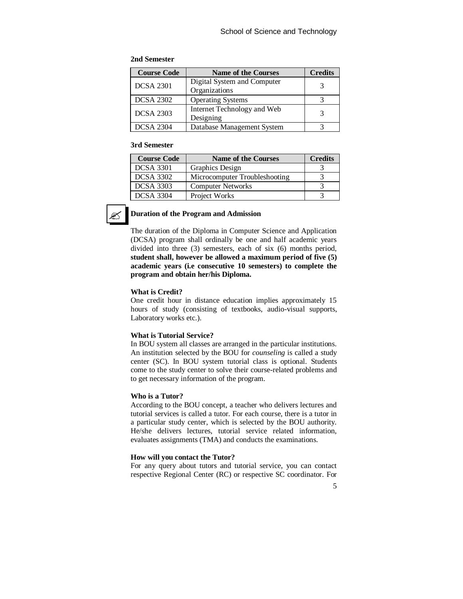# **2nd Semester**

| <b>Course Code</b> | <b>Name of the Courses</b>  | <b>Credits</b> |
|--------------------|-----------------------------|----------------|
| <b>DCSA 2301</b>   | Digital System and Computer |                |
|                    | Organizations               |                |
| <b>DCSA 2302</b>   | <b>Operating Systems</b>    |                |
| <b>DCSA 2303</b>   | Internet Technology and Web |                |
|                    | Designing                   |                |
| <b>DCSA 2304</b>   | Database Management System  |                |

#### **3rd Semester**

| <b>Course Code</b> | <b>Name of the Courses</b>    | <b>Credits</b> |
|--------------------|-------------------------------|----------------|
| <b>DCSA 3301</b>   | Graphics Design               |                |
| <b>DCSA 3302</b>   | Microcomputer Troubleshooting |                |
| <b>DCSA 3303</b>   | <b>Computer Networks</b>      |                |
| <b>DCSA 3304</b>   | Project Works                 |                |



# **Duration of the Program and Admission**

The duration of the Diploma in Computer Science and Application (DCSA) program shall ordinally be one and half academic years divided into three (3) semesters, each of six (6) months period, **student shall, however be allowed a maximum period of five (5) academic years (i.e consecutive 10 semesters) to complete the program and obtain her/his Diploma.**

#### **What is Credit?**

One credit hour in distance education implies approximately 15 hours of study (consisting of textbooks, audio-visual supports, Laboratory works etc.).

#### **What is Tutorial Service?**

In BOU system all classes are arranged in the particular institutions. An institution selected by the BOU for *counseling* is called a study center (SC). In BOU system tutorial class is optional. Students come to the study center to solve their course-related problems and to get necessary information of the program.

#### **Who is a Tutor?**

According to the BOU concept, a teacher who delivers lectures and tutorial services is called a tutor. For each course, there is a tutor in a particular study center, which is selected by the BOU authority. He/she delivers lectures, tutorial service related information, evaluates assignments (TMA) and conducts the examinations.

#### **How will you contact the Tutor?**

For any query about tutors and tutorial service, you can contact respective Regional Center (RC) or respective SC coordinator. For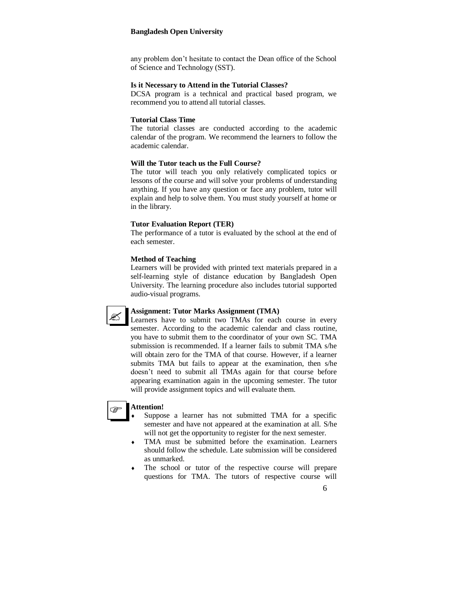any problem don't hesitate to contact the Dean office of the School of Science and Technology (SST).

#### **Is it Necessary to Attend in the Tutorial Classes?**

DCSA program is a technical and practical based program, we recommend you to attend all tutorial classes.

#### **Tutorial Class Time**

The tutorial classes are conducted according to the academic calendar of the program. We recommend the learners to follow the academic calendar.

#### **Will the Tutor teach us the Full Course?**

The tutor will teach you only relatively complicated topics or lessons of the course and will solve your problems of understanding anything. If you have any question or face any problem, tutor will explain and help to solve them. You must study yourself at home or in the library.

#### **Tutor Evaluation Report (TER)**

The performance of a tutor is evaluated by the school at the end of each semester.

#### **Method of Teaching**

Learners will be provided with printed text materials prepared in a self-learning style of distance education by Bangladesh Open University. The learning procedure also includes tutorial supported audio-visual programs.



#### **Assignment: Tutor Marks Assignment (TMA)**

Learners have to submit two TMAs for each course in every semester. According to the academic calendar and class routine, you have to submit them to the coordinator of your own SC. TMA submission is recommended. If a learner fails to submit TMA s/he will obtain zero for the TMA of that course. However, if a learner submits TMA but fails to appear at the examination, then s/he doesn't need to submit all TMAs again for that course before appearing examination again in the upcoming semester. The tutor will provide assignment topics and will evaluate them.

#### **Attention! P**

- Suppose a learner has not submitted TMA for a specific semester and have not appeared at the examination at all. S/he will not get the opportunity to register for the next semester.
- TMA must be submitted before the examination. Learners should follow the schedule. Late submission will be considered as unmarked.
- The school or tutor of the respective course will prepare questions for TMA. The tutors of respective course will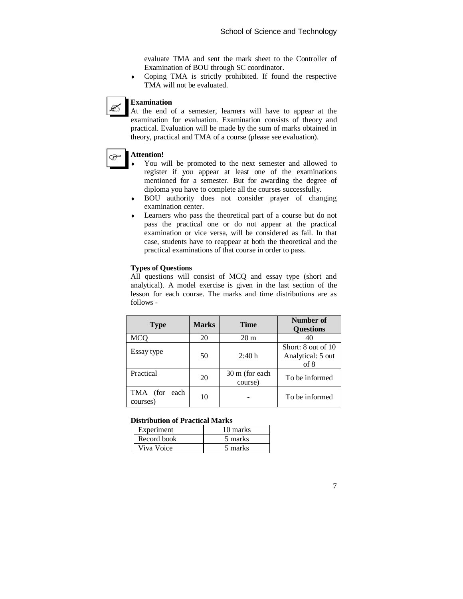evaluate TMA and sent the mark sheet to the Controller of Examination of BOU through SC coordinator.

 Coping TMA is strictly prohibited. If found the respective TMA will not be evaluated.

#### **Examination**

At the end of a semester, learners will have to appear at the examination for evaluation. Examination consists of theory and practical. Evaluation will be made by the sum of marks obtained in theory, practical and TMA of a course (please see evaluation).

#### **Attention!**

తా

Ø

- You will be promoted to the next semester and allowed to register if you appear at least one of the examinations mentioned for a semester. But for awarding the degree of diploma you have to complete all the courses successfully.
- BOU authority does not consider prayer of changing examination center.
- Learners who pass the theoretical part of a course but do not pass the practical one or do not appear at the practical examination or vice versa, will be considered as fail. In that case, students have to reappear at both the theoretical and the practical examinations of that course in order to pass.

#### **Types of Questions**

All questions will consist of MCQ and essay type (short and analytical). A model exercise is given in the last section of the lesson for each course. The marks and time distributions are as follows -

| <b>Type</b>                     | <b>Marks</b> | <b>Time</b>               | Number of<br><b>Questions</b>                   |
|---------------------------------|--------------|---------------------------|-------------------------------------------------|
| MCQ                             | 20           | 20 <sub>m</sub>           |                                                 |
| Essay type                      | 50           | 2:40h                     | Short: 8 out of 10<br>Analytical: 5 out<br>of 8 |
| Practical                       | 20           | 30 m (for each<br>course) | To be informed                                  |
| TMA<br>(for<br>each<br>courses) | 10           |                           | To be informed                                  |

#### **Distribution of Practical Marks**

| Experiment  | 10 marks |
|-------------|----------|
| Record book | 5 marks  |
| Viva Voice  | 5 marks  |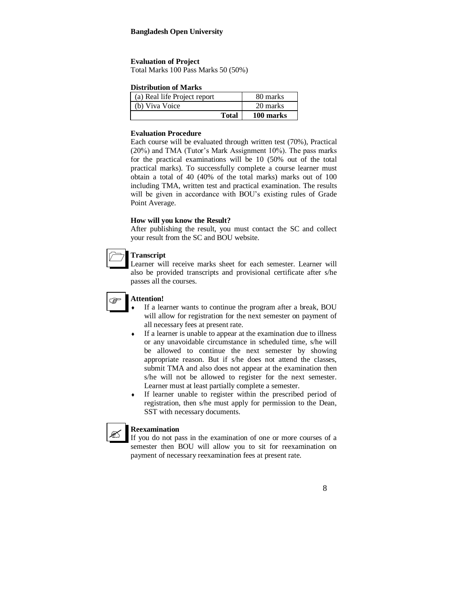#### **Evaluation of Project**

Total Marks 100 Pass Marks 50 (50%)

#### **Distribution of Marks**

| <b>Total</b>                 | 100 marks |
|------------------------------|-----------|
| (b) Viva Voice               | 20 marks  |
| (a) Real life Project report | 80 marks  |

#### **Evaluation Procedure**

Each course will be evaluated through written test (70%), Practical (20%) and TMA (Tutor's Mark Assignment 10%). The pass marks for the practical examinations will be 10 (50% out of the total practical marks). To successfully complete a course learner must obtain a total of 40 (40% of the total marks) marks out of 100 including TMA, written test and practical examination. The results will be given in accordance with BOU's existing rules of Grade Point Average.

#### **How will you know the Result?**

After publishing the result, you must contact the SC and collect your result from the SC and BOU website.

| 1 ranscript |
|-------------|
|             |

Learner will receive marks sheet for each semester. Learner will also be provided transcripts and provisional certificate after s/he passes all the courses.

# **Attention!**

١

Ø

- If a learner wants to continue the program after a break, BOU will allow for registration for the next semester on payment of all necessary fees at present rate.
- If a learner is unable to appear at the examination due to illness or any unavoidable circumstance in scheduled time, s/he will be allowed to continue the next semester by showing appropriate reason. But if s/he does not attend the classes, submit TMA and also does not appear at the examination then s/he will not be allowed to register for the next semester. Learner must at least partially complete a semester.
- If learner unable to register within the prescribed period of registration, then s/he must apply for permission to the Dean, SST with necessary documents.

# **Reexamination**

If you do not pass in the examination of one or more courses of a semester then BOU will allow you to sit for reexamination on payment of necessary reexamination fees at present rate.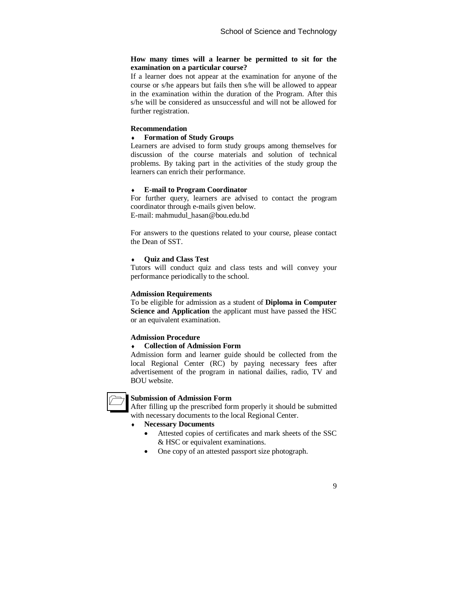#### **How many times will a learner be permitted to sit for the examination on a particular course?**

If a learner does not appear at the examination for anyone of the course or s/he appears but fails then s/he will be allowed to appear in the examination within the duration of the Program. After this s/he will be considered as unsuccessful and will not be allowed for further registration.

#### **Recommendation**

# **Formation of Study Groups**

Learners are advised to form study groups among themselves for discussion of the course materials and solution of technical problems. By taking part in the activities of the study group the learners can enrich their performance.

#### **E-mail to Program Coordinator**

For further query, learners are advised to contact the program coordinator through e-mails given below. E-mail: mahmudul\_hasan@bou.edu.bd

For answers to the questions related to your course, please contact the Dean of SST.

#### **Quiz and Class Test**

Tutors will conduct quiz and class tests and will convey your performance periodically to the school.

#### **Admission Requirements**

To be eligible for admission as a student of **Diploma in Computer Science and Application** the applicant must have passed the HSC or an equivalent examination.

#### **Admission Procedure**

#### **Collection of Admission Form**

Admission form and learner guide should be collected from the local Regional Center (RC) by paying necessary fees after advertisement of the program in national dailies, radio, TV and BOU website.



#### **Submission of Admission Form**

After filling up the prescribed form properly it should be submitted with necessary documents to the local Regional Center.

# **Necessary Documents**

- Attested copies of certificates and mark sheets of the SSC & HSC or equivalent examinations.
- One copy of an attested passport size photograph.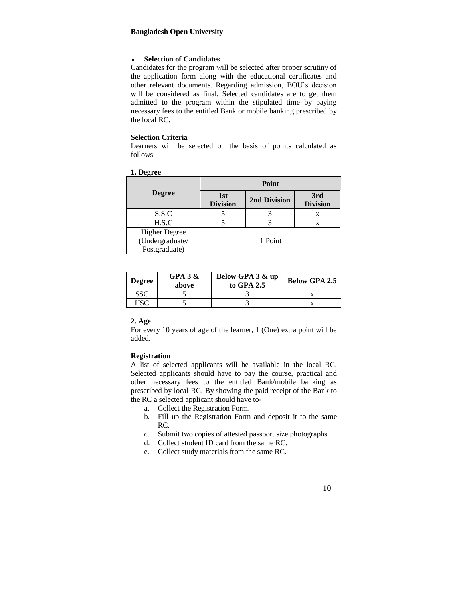#### **Selection of Candidates**

Candidates for the program will be selected after proper scrutiny of the application form along with the educational certificates and other relevant documents. Regarding admission, BOU's decision will be considered as final. Selected candidates are to get them admitted to the program within the stipulated time by paying necessary fees to the entitled Bank or mobile banking prescribed by the local RC.

# **Selection Criteria**

Learners will be selected on the basis of points calculated as follows–

| -                                                        | Point                  |              |                        |  |
|----------------------------------------------------------|------------------------|--------------|------------------------|--|
| <b>Degree</b>                                            | 1st<br><b>Division</b> | 2nd Division | 3rd<br><b>Division</b> |  |
| S.S.C                                                    |                        |              | X                      |  |
| H.S.C                                                    |                        |              |                        |  |
| <b>Higher Degree</b><br>(Undergraduate/<br>Postgraduate) |                        | 1 Point      |                        |  |

|--|

| <b>Degree</b> | GPA $3 &$<br>above | Below GPA 3 & up<br>to GPA 2.5 | <b>Below GPA 2.5</b> |
|---------------|--------------------|--------------------------------|----------------------|
| SSC           |                    |                                |                      |
| HSC           |                    |                                |                      |

#### **2. Age**

For every 10 years of age of the learner, 1 (One) extra point will be added.

#### **Registration**

A list of selected applicants will be available in the local RC. Selected applicants should have to pay the course, practical and other necessary fees to the entitled Bank/mobile banking as prescribed by local RC. By showing the paid receipt of the Bank to the RC a selected applicant should have to-

- a. Collect the Registration Form.
- b. Fill up the Registration Form and deposit it to the same RC.
- c. Submit two copies of attested passport size photographs.
- d. Collect student ID card from the same RC.
- e. Collect study materials from the same RC.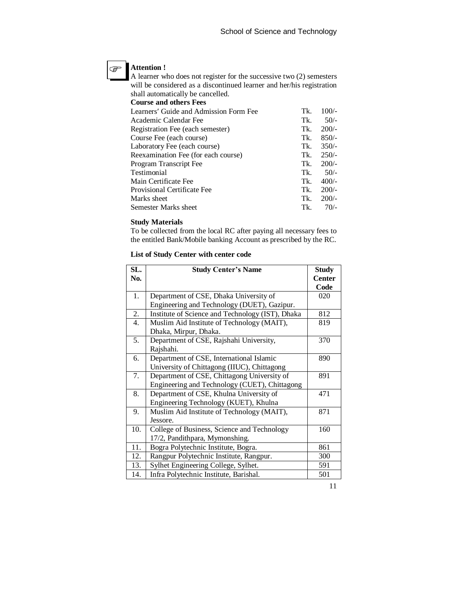# **Attention !**

 $\circledast$ 

A learner who does not register for the successive two (2) semesters will be considered as a discontinued learner and her/his registration shall automatically be cancelled.

**Course and others Fees** 

| Learners' Guide and Admission Form Fee | Tk. | $100/-$ |
|----------------------------------------|-----|---------|
| Academic Calendar Fee                  | Tk. | $50/-$  |
| Registration Fee (each semester)       | Tk. | $200/-$ |
| Course Fee (each course)               | Tk. | $850/-$ |
| Laboratory Fee (each course)           | Tk. | $350/-$ |
| Reexamination Fee (for each course)    | Tk. | $250/-$ |
| Program Transcript Fee                 | Tk. | $200/-$ |
| Testimonial                            | Tk. | $50/-$  |
| Main Certificate Fee                   | Tk. | $400/-$ |
| Provisional Certificate Fee            | Tk. | $200/-$ |
| Marks sheet                            | Tk. | $200/-$ |
| Semester Marks sheet                   | Tk. | $70/-$  |

#### **Study Materials**

To be collected from the local RC after paying all necessary fees to the entitled Bank/Mobile banking Account as prescribed by the RC.

# **List of Study Center with center code**

| SL. | <b>Study Center's Name</b>                       | <b>Study</b>  |
|-----|--------------------------------------------------|---------------|
| No. |                                                  | <b>Center</b> |
|     |                                                  | Code          |
| 1.  | Department of CSE, Dhaka University of           | 020           |
|     | Engineering and Technology (DUET), Gazipur.      |               |
| 2.  | Institute of Science and Technology (IST), Dhaka | 812           |
| 4.  | Muslim Aid Institute of Technology (MAIT),       | 819           |
|     | Dhaka, Mirpur, Dhaka.                            |               |
| 5.  | Department of CSE, Rajshahi University,          | 370           |
|     | Rajshahi.                                        |               |
| 6.  | Department of CSE, International Islamic         | 890           |
|     | University of Chittagong (IIUC), Chittagong      |               |
| 7.  | Department of CSE, Chittagong University of      | 891           |
|     | Engineering and Technology (CUET), Chittagong    |               |
| 8.  | Department of CSE, Khulna University of          | 471           |
|     | Engineering Technology (KUET), Khulna            |               |
| 9.  | Muslim Aid Institute of Technology (MAIT),       | 871           |
|     | Jessore.                                         |               |
| 10. | College of Business, Science and Technology      | 160           |
|     | 17/2, Pandithpara, Mymonshing.                   |               |
| 11. | Bogra Polytechnic Institute, Bogra.              | 861           |
| 12. | Rangpur Polytechnic Institute, Rangpur.          | 300           |
| 13. | Sylhet Engineering College, Sylhet.              | 591           |
| 14. | Infra Polytechnic Institute, Barishal.           | 501           |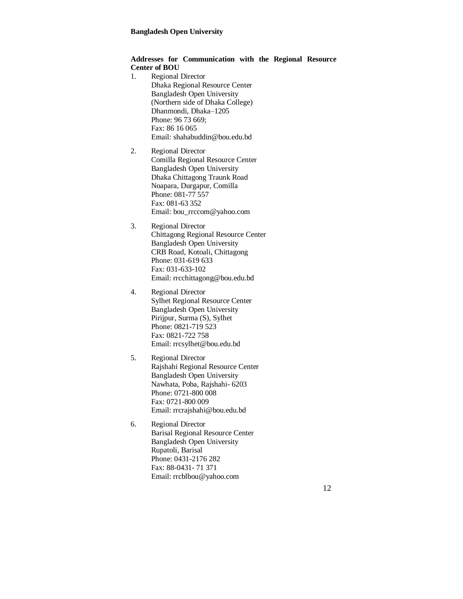# **Addresses for Communication with the Regional Resource Center of BOU**

- 1. Regional Director Dhaka Regional Resource Center Bangladesh Open University (Northern side of Dhaka College) Dhanmondi, Dhaka–1205 Phone: 96 73 669; Fax: 86 16 065 Email: shahabuddin@bou.edu.bd
- 2. Regional Director Comilla Regional Resource Center Bangladesh Open University Dhaka Chittagong Traunk Road Noapara, Durgapur, Comilla Phone: 081-77 557 Fax: 081-63 352 Email: bou\_rrccom@yahoo.com
- 3. Regional Director Chittagong Regional Resource Center Bangladesh Open University CRB Road, Kotoali, Chittagong Phone: 031-619 633 Fax: 031-633-102 Email: rrcchittagong@bou.edu.bd
- 4. Regional Director Sylhet Regional Resource Center Bangladesh Open University Pirijpur, Surma (S), Sylhet Phone: 0821-719 523 Fax: 0821-722 758 Email: rrcsylhet@bou.edu.bd
- 5. Regional Director Rajshahi Regional Resource Center Bangladesh Open University Nawhata, Poba, Rajshahi- 6203 Phone: 0721-800 008 Fax: 0721-800 009 Email: rrcrajshahi@bou.edu.bd
- 6. Regional Director Barisal Regional Resource Center Bangladesh Open University Rupatoli, Barisal Phone: 0431-2176 282 Fax: 88-0431- 71 371 Email: rrcblbou@yahoo.com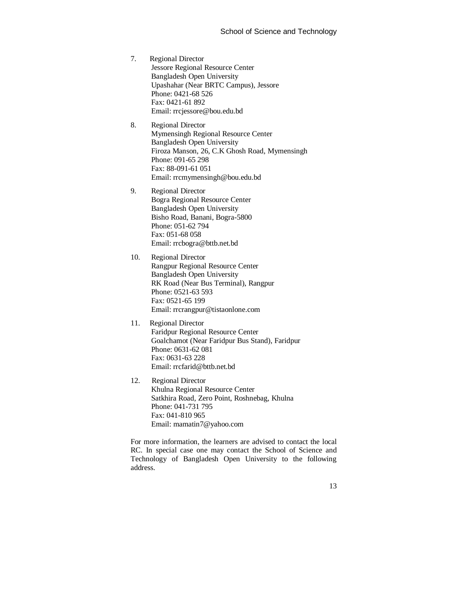- 7. Regional Director Jessore Regional Resource Center Bangladesh Open University Upashahar (Near BRTC Campus), Jessore Phone: 0421-68 526 Fax: 0421-61 892 Email: rrcjessore@bou.edu.bd
- 8. Regional Director Mymensingh Regional Resource Center Bangladesh Open University Firoza Manson, 26, C.K Ghosh Road, Mymensingh Phone: 091-65 298 Fax: 88-091-61 051 Email: rrcmymensingh@bou.edu.bd
- 9. Regional Director Bogra Regional Resource Center Bangladesh Open University Bisho Road, Banani, Bogra-5800 Phone: 051-62 794 Fax: 051-68 058 Email: rrcbogra@bttb.net.bd
- 10. Regional Director Rangpur Regional Resource Center Bangladesh Open University RK Road (Near Bus Terminal), Rangpur Phone: 0521-63 593 Fax: 0521-65 199 Email: rrcrangpur@tistaonlone.com
- 11. Regional Director Faridpur Regional Resource Center Goalchamot (Near Faridpur Bus Stand), Faridpur Phone: 0631-62 081 Fax: 0631-63 228 Email: rrcfarid@bttb.net.bd
- 12. Regional Director Khulna Regional Resource Center Satkhira Road, Zero Point, Roshnebag, Khulna Phone: 041-731 795 Fax: 041-810 965 Email: mamatin7@yahoo.com

For more information, the learners are advised to contact the local RC. In special case one may contact the School of Science and Technology of Bangladesh Open University to the following address.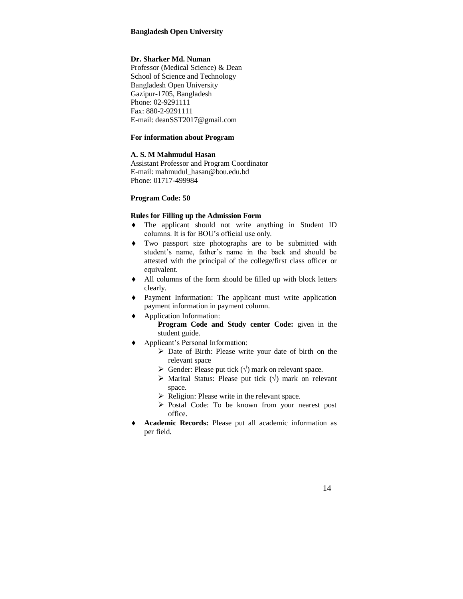# **Dr. Sharker Md. Numan**

Professor (Medical Science) & Dean School of Science and Technology Bangladesh Open University Gazipur-1705, Bangladesh Phone: 02-9291111 Fax: 880-2-9291111 E-mail: deanSST2017@gmail.com

# **For information about Program**

# **A. S. M Mahmudul Hasan**

Assistant Professor and Program Coordinator E-mail: mahmudul\_hasan@bou.edu.bd Phone: 01717-499984

#### **Program Code: 50**

#### **Rules for Filling up the Admission Form**

- The applicant should not write anything in Student ID columns. It is for BOU's official use only.
- Two passport size photographs are to be submitted with student's name, father's name in the back and should be attested with the principal of the college/first class officer or equivalent.
- All columns of the form should be filled up with block letters clearly.
- Payment Information: The applicant must write application payment information in payment column.
- Application Information:
	- **Program Code and Study center Code:** given in the student guide.
- Applicant's Personal Information:
	- Date of Birth: Please write your date of birth on the relevant space
	- $\triangleright$  Gender: Please put tick  $(\sqrt{})$  mark on relevant space.
	- $\triangleright$  Marital Status: Please put tick  $(\sqrt{})$  mark on relevant space.
	- $\triangleright$  Religion: Please write in the relevant space.
	- $\triangleright$  Postal Code: To be known from your nearest post office.
- **Academic Records:** Please put all academic information as per field.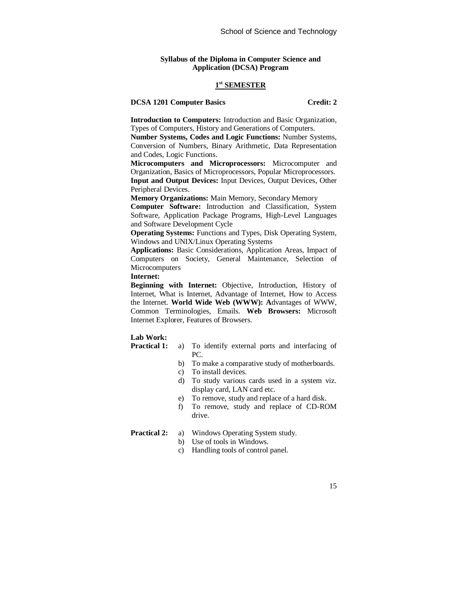#### **Syllabus of the Diploma in Computer Science and Application (DCSA) Program**

# **1 st SEMESTER**

#### **DCSA 1201 Computer Basics Credit: 2**

**Introduction to Computers:** Introduction and Basic Organization, Types of Computers, History and Generations of Computers.

**Number Systems, Codes and Logic Functions:** Number Systems, Conversion of Numbers, Binary Arithmetic, Data Representation and Codes, Logic Functions.

**Microcomputers and Microprocessors:** Microcomputer and Organization, Basics of Microprocessors, Popular Microprocessors. **Input and Output Devices:** Input Devices, Output Devices, Other Peripheral Devices.

**Memory Organizations:** Main Memory, Secondary Memory

**Computer Software:** Introduction and Classification, System Software, Application Package Programs, High-Level Languages and Software Development Cycle

**Operating Systems:** Functions and Types, Disk Operating System, Windows and UNIX/Linux Operating Systems

**Applications:** Basic Considerations, Application Areas, Impact of Computers on Society, General Maintenance, Selection of **Microcomputers** 

**Internet:** 

**Beginning with Internet:** Objective, Introduction, History of Internet, What is Internet, Advantage of Internet, How to Access the Internet. **World Wide Web (WWW): A**dvantages of WWW, Common Terminologies, Emails. **Web Browsers:** Microsoft Internet Explorer, Features of Browsers.

### **Lab Work:**

- **Practical 1:** a) To identify external ports and interfacing of PC.
	- b) To make a comparative study of motherboards.
	- c) To install devices.
	- d) To study various cards used in a system viz. display card, LAN card etc.
	- e) To remove, study and replace of a hard disk.
	- f) To remove, study and replace of CD-ROM drive.

- **Practical 2:** a) Windows Operating System study.
	- b) Use of tools in Windows.
	- c) Handling tools of control panel.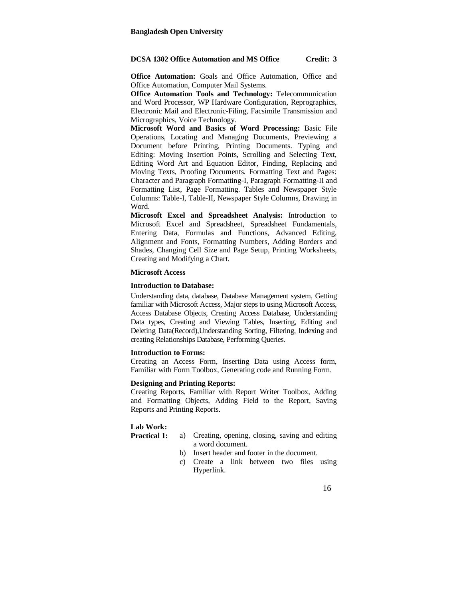#### **DCSA 1302 Office Automation and MS Office Credit: 3**

**Office Automation:** Goals and Office Automation, Office and Office Automation, Computer Mail Systems.

**Office Automation Tools and Technology:** Telecommunication and Word Processor, WP Hardware Configuration, Reprographics, Electronic Mail and Electronic-Filing, Facsimile Transmission and Micrographics, Voice Technology.

**Microsoft Word and Basics of Word Processing:** Basic File Operations, Locating and Managing Documents, Previewing a Document before Printing, Printing Documents. Typing and Editing: Moving Insertion Points, Scrolling and Selecting Text, Editing Word Art and Equation Editor, Finding, Replacing and Moving Texts, Proofing Documents. Formatting Text and Pages: Character and Paragraph Formatting-I, Paragraph Formatting-II and Formatting List, Page Formatting. Tables and Newspaper Style Columns: Table-I, Table-II, Newspaper Style Columns, Drawing in Word.

**Microsoft Excel and Spreadsheet Analysis:** Introduction to Microsoft Excel and Spreadsheet, Spreadsheet Fundamentals, Entering Data, Formulas and Functions, Advanced Editing, Alignment and Fonts, Formatting Numbers, Adding Borders and Shades, Changing Cell Size and Page Setup, Printing Worksheets, Creating and Modifying a Chart.

#### **Microsoft Access**

#### **Introduction to Database:**

Understanding data, database, Database Management system, Getting familiar with Microsoft Access, Major steps to using Microsoft Access, Access Database Objects, Creating Access Database, Understanding Data types, Creating and Viewing Tables, Inserting, Editing and Deleting Data(Record),Understanding Sorting, Filtering, Indexing and creating Relationships Database, Performing Queries.

#### **Introduction to Forms:**

Creating an Access Form, Inserting Data using Access form, Familiar with Form Toolbox, Generating code and Running Form.

#### **Designing and Printing Reports:**

Creating Reports, Familiar with Report Writer Toolbox, Adding and Formatting Objects, Adding Field to the Report, Saving Reports and Printing Reports.

#### **Lab Work:**

- **Practical 1:** a) Creating, opening, closing, saving and editing a word document.
	- b) Insert header and footer in the document.
	- c) Create a link between two files using Hyperlink.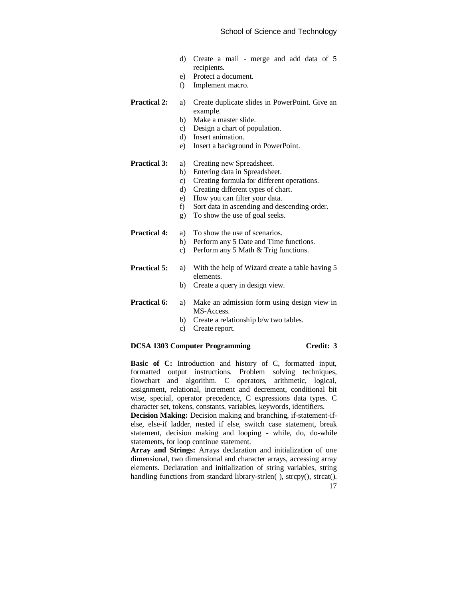- d) Create a mail merge and add data of 5 recipients.
- e) Protect a document.
- f) Implement macro.

#### **Practical 2:** a) Create duplicate slides in PowerPoint. Give an example.

- b) Make a master slide.
- c) Design a chart of population.
- d) Insert animation.
- e) Insert a background in PowerPoint.

#### **Practical 3:** a) Creating new Spreadsheet.

- b) Entering data in Spreadsheet.
- c) Creating formula for different operations.
- d) Creating different types of chart.
- e) How you can filter your data.
- f) Sort data in ascending and descending order.
- g) To show the use of goal seeks.

#### **Practical 4:** a) To show the use of scenarios.

- b) Perform any 5 Date and Time functions.
- c) Perform any 5 Math & Trig functions.

# **Practical 5:** a) With the help of Wizard create a table having 5 elements.

b) Create a query in design view.

#### **Practical 6:** a) Make an admission form using design view in MS-Access.

- b) Create a relationship b/w two tables.
- c) Create report.

#### **DCSA 1303 Computer Programming Credit: 3**

Basic of C: Introduction and history of C, formatted input, formatted output instructions. Problem solving techniques, flowchart and algorithm. C operators, arithmetic, logical, assignment, relational, increment and decrement, conditional bit wise, special, operator precedence, C expressions data types. C character set, tokens, constants, variables, keywords, identifiers.

**Decision Making:** Decision making and branching, if-statement-ifelse, else-if ladder, nested if else, switch case statement, break statement, decision making and looping - while, do, do-while statements, for loop continue statement.

**Array and Strings:** Arrays declaration and initialization of one dimensional, two dimensional and character arrays, accessing array elements. Declaration and initialization of string variables, string handling functions from standard library-strlen( ), strcpy(), strcat().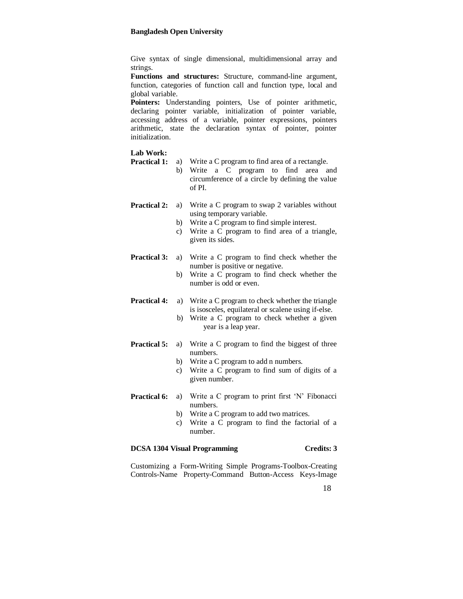Give syntax of single dimensional, multidimensional array and strings.

**Functions and structures:** Structure, command-line argument, function, categories of function call and function type, local and global variable.

Pointers: Understanding pointers, Use of pointer arithmetic, declaring pointer variable, initialization of pointer variable, accessing address of a variable, pointer expressions, pointers arithmetic, state the declaration syntax of pointer, pointer initialization.

# **Lab Work:**

| <b>Practical 1:</b> | a)<br>b)       | Write a C program to find area of a rectangle.<br>Write a C program to find area and<br>circumference of a circle by defining the value<br>of PL                                              |
|---------------------|----------------|-----------------------------------------------------------------------------------------------------------------------------------------------------------------------------------------------|
| <b>Practical 2:</b> | a)<br>b)<br>c) | Write a C program to swap 2 variables without<br>using temporary variable.<br>Write a C program to find simple interest.<br>Write a C program to find area of a triangle,<br>given its sides. |
| <b>Practical 3:</b> | a)<br>b)       | Write a C program to find check whether the<br>number is positive or negative.<br>Write a C program to find check whether the<br>number is odd or even.                                       |
| <b>Practical 4:</b> | b)             | a) Write a C program to check whether the triangle<br>is isosceles, equilateral or scalene using if-else.<br>Write a C program to check whether a given<br>year is a leap year.               |
| <b>Practical 5:</b> | a)<br>b)<br>c) | Write a C program to find the biggest of three<br>numbers.<br>Write a C program to add n numbers.<br>Write a C program to find sum of digits of a<br>given number.                            |
| <b>Practical 6:</b> | a)<br>b)<br>c) | Write a C program to print first 'N' Fibonacci<br>numbers.<br>Write a C program to add two matrices.<br>Write a C program to find the factorial of a                                          |

# **DCSA 1304 Visual Programming Credits: 3**

number.

Customizing a Form-Writing Simple Programs-Toolbox-Creating Controls-Name Property-Command Button-Access Keys-Image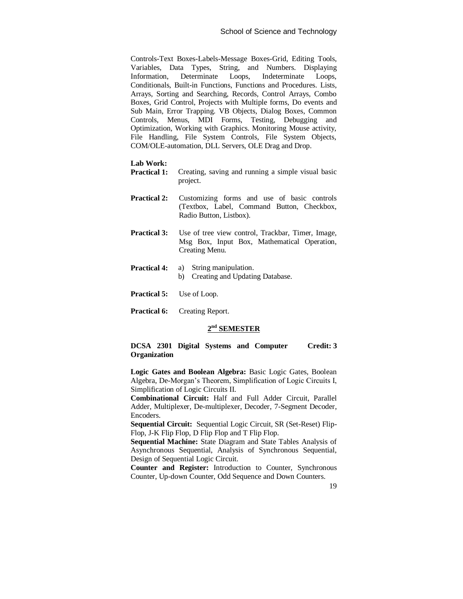Controls-Text Boxes-Labels-Message Boxes-Grid, Editing Tools, Variables, Data Types, String, and Numbers. Displaying Information, Determinate Loops, Indeterminate Loops, Conditionals, Built-in Functions, Functions and Procedures. Lists, Arrays, Sorting and Searching, Records, Control Arrays, Combo Boxes, Grid Control, Projects with Multiple forms, Do events and Sub Main, Error Trapping. VB Objects, Dialog Boxes, Common Controls, Menus, MDI Forms, Testing, Debugging and Optimization, Working with Graphics. Monitoring Mouse activity, File Handling, File System Controls, File System Objects, COM/OLE-automation, DLL Servers, OLE Drag and Drop.

#### **Lab Work:**

- **Practical 1:** Creating, saving and running a simple visual basic project.
- **Practical 2:** Customizing forms and use of basic controls (Textbox, Label, Command Button, Checkbox, Radio Button, Listbox).
- **Practical 3:** Use of tree view control, Trackbar, Timer, Image, Msg Box, Input Box, Mathematical Operation, Creating Menu.
- **Practical 4:** a) String manipulation. b) Creating and Updating Database.
- **Practical 5:** Use of Loop.
- **Practical 6:** Creating Report.

# **2 nd SEMESTER**

#### **DCSA 2301 Digital Systems and Computer Organization Credit: 3**

**Logic Gates and Boolean Algebra:** Basic Logic Gates, Boolean Algebra, De-Morgan's Theorem, Simplification of Logic Circuits I, Simplification of Logic Circuits II.

**Combinational Circuit:** Half and Full Adder Circuit, Parallel Adder, Multiplexer, De-multiplexer, Decoder, 7-Segment Decoder, Encoders.

**Sequential Circuit:** Sequential Logic Circuit, SR (Set-Reset) Flip-Flop, J-K Flip Flop, D Flip Flop and T Flip Flop.

**Sequential Machine:** State Diagram and State Tables Analysis of Asynchronous Sequential, Analysis of Synchronous Sequential, Design of Sequential Logic Circuit.

**Counter and Register:** Introduction to Counter, Synchronous Counter, Up-down Counter, Odd Sequence and Down Counters.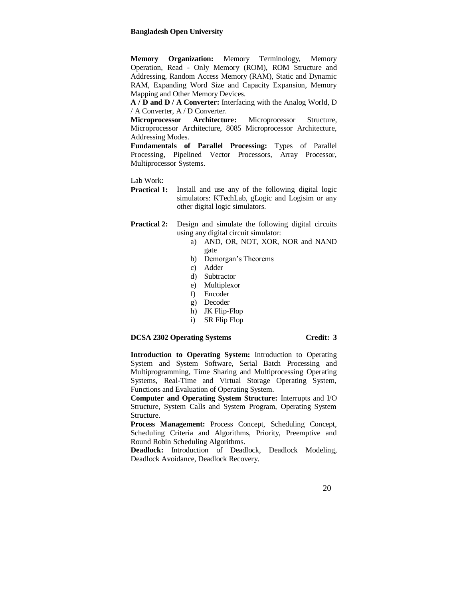**Memory Organization:** Memory Terminology, Memory Operation, Read - Only Memory (ROM), ROM Structure and Addressing, Random Access Memory (RAM), Static and Dynamic RAM, Expanding Word Size and Capacity Expansion, Memory Mapping and Other Memory Devices.

**A / D and D / A Converter:** Interfacing with the Analog World, D / A Converter, A / D Converter.

**Microprocessor Architecture:** Microprocessor Structure, Microprocessor Architecture, 8085 Microprocessor Architecture, Addressing Modes.

**Fundamentals of Parallel Processing:** Types of Parallel Processing, Pipelined Vector Processors, Array Processor, Multiprocessor Systems.

Lab Work:

**Practical 1:** Install and use any of the following digital logic simulators: KTechLab, gLogic and Logisim or any other digital logic simulators.

**Practical 2:** Design and simulate the following digital circuits using any digital circuit simulator:

- a) AND, OR, NOT, XOR, NOR and NAND gate
- b) Demorgan's Theorems
- c) Adder
- d) Subtractor
- e) Multiplexor
- f) Encoder
- g) Decoder
- h) JK Flip-Flop
- i) SR Flip Flop

# **DCSA 2302 Operating Systems Credit: 3**

**Introduction to Operating System:** Introduction to Operating System and System Software, Serial Batch Processing and Multiprogramming, Time Sharing and Multiprocessing Operating Systems, Real-Time and Virtual Storage Operating System, Functions and Evaluation of Operating System.

**Computer and Operating System Structure:** Interrupts and I/O Structure, System Calls and System Program, Operating System Structure.

**Process Management:** Process Concept, Scheduling Concept, Scheduling Criteria and Algorithms, Priority, Preemptive and Round Robin Scheduling Algorithms.

**Deadlock:** Introduction of Deadlock, Deadlock Modeling, Deadlock Avoidance, Deadlock Recovery.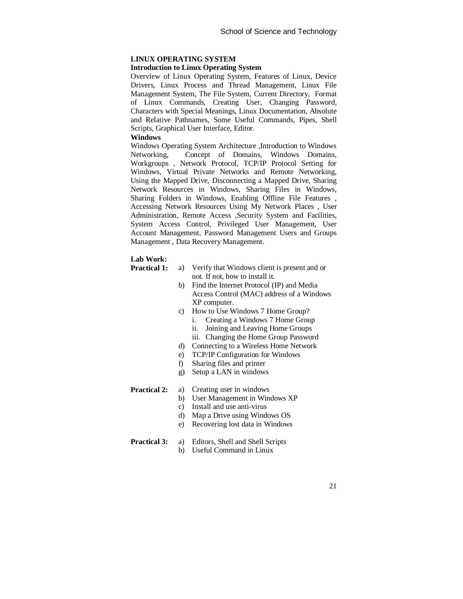# **LINUX OPERATING SYSTEM**

#### **Introduction to Linux Operating System**

Overview of Linux Operating System, Features of Linux, Device Drivers, Linux Process and Thread Management, Linux File Management System, The File System, Current Directory, Format of Linux Commands, Creating User, Changing Password, Characters with Special Meanings, Linux Documentation, Absolute and Relative Pathnames, Some Useful Commands, Pipes, Shell Scripts, Graphical User Interface, Editor.

# **Windows**

Windows Operating System Architecture ,Introduction to Windows Networking, Concept of Domains, Windows Domains, Workgroups , Network Protocol, TCP/IP Protocol Setting for Windows, Virtual Private Networks and Remote Networking, Using the Mapped Drive, Disconnecting a Mapped Drive, Sharing Network Resources in Windows, Sharing Files in Windows, Sharing Folders in Windows, Enabling Offline File Features , Accessing Network Resources Using My Network Places , User Administration, Remote Access ,Security System and Facilities, System Access Control, Privileged User Management, User Account Management, Password Management Users and Groups Management , Data Recovery Management.

#### **Lab Work:**

| Practical 1: | a) Verify that Windows client is present and or |
|--------------|-------------------------------------------------|
|              | not. If not, how to install it.                 |
|              | Eind the Internet Drotogol (ID) and Medic       |

- b) Find the Internet Protocol (IP) and Media Access Control (MAC) address of a Windows XP computer.
- c) How to Use Windows 7 Home Group?
	- i. Creating a Windows 7 Home Group
	- ii. Joining and Leaving Home Groups
	- iii. Changing the Home Group Password
- d) Connecting to a Wireless Home Network
- e) TCP/IP Configuration for Windows
- f) Sharing files and printer
- g) Setup a LAN in windows

#### **Practical 2:** a) Creating user in windows

- b) User Management in Windows XP
	- c) Install and use anti-virus
	- d) Map a Drive using Windows OS
	- e) Recovering lost data in Windows

#### **Practical 3:** a) Editors, Shell and Shell Scripts

b) Useful Command in Linux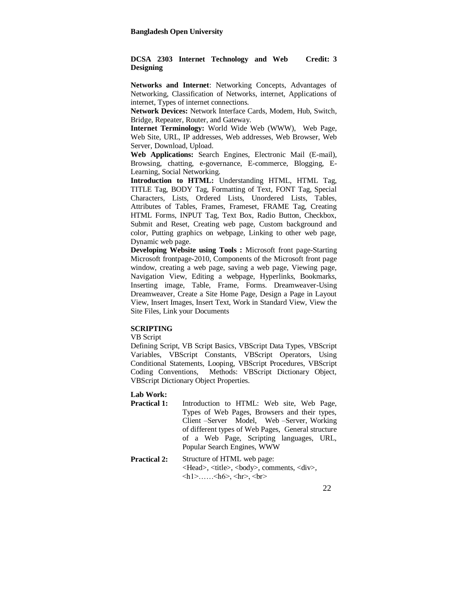#### **DCSA 2303 Internet Technology and Web Designing Credit: 3**

**Networks and Internet**: Networking Concepts, Advantages of Networking, Classification of Networks, internet, Applications of internet, Types of internet connections.

**Network Devices:** Network Interface Cards, Modem, Hub, Switch, Bridge, Repeater, Router, and Gateway.

**Internet Terminology:** World Wide Web (WWW), Web Page, Web Site, URL, IP addresses, Web addresses, Web Browser, Web Server, Download, Upload.

**Web Applications:** Search Engines, Electronic Mail (E-mail), Browsing, chatting, e-governance, E-commerce, Blogging, E-Learning, Social Networking.

**Introduction to HTML:** Understanding HTML, HTML Tag, TITLE Tag, BODY Tag, Formatting of Text, FONT Tag, Special Characters, Lists, Ordered Lists, Unordered Lists, Tables, Attributes of Tables, Frames, Frameset, FRAME Tag, Creating HTML Forms, INPUT Tag, Text Box, Radio Button, Checkbox, Submit and Reset, Creating web page, Custom background and color, Putting graphics on webpage, Linking to other web page, Dynamic web page.

**Developing Website using Tools :** Microsoft front page-Starting Microsoft frontpage-2010, Components of the Microsoft front page window, creating a web page, saving a web page, Viewing page, Navigation View, Editing a webpage, Hyperlinks, Bookmarks, Inserting image, Table, Frame, Forms. Dreamweaver-Using Dreamweaver, Create a Site Home Page, Design a Page in Layout View, Insert Images, Insert Text, Work in Standard View, View the Site Files, Link your Documents

# **SCRIPTING**

VB Script

Defining Script, VB Script Basics, VBScript Data Types, VBScript Variables, VBScript Constants, VBScript Operators, Using Conditional Statements, Looping, VBScript Procedures, VBScript Coding Conventions, Methods: VBScript Dictionary Object, VBScript Dictionary Object Properties.

**Lab Work:**

- **Practical 1:** Introduction to HTML: Web site, Web Page, Types of Web Pages, Browsers and their types, Client –Server Model, Web –Server, Working of different types of Web Pages, General structure of a Web Page, Scripting languages, URL, Popular Search Engines, WWW
- **Practical 2:** Structure of HTML web page: <Head>, <title>, <body>, comments, <div>,  $\langle h1 \rangle$ …… $\langle h6 \rangle$ ,  $\langle hr \rangle$ ,  $\langle br \rangle$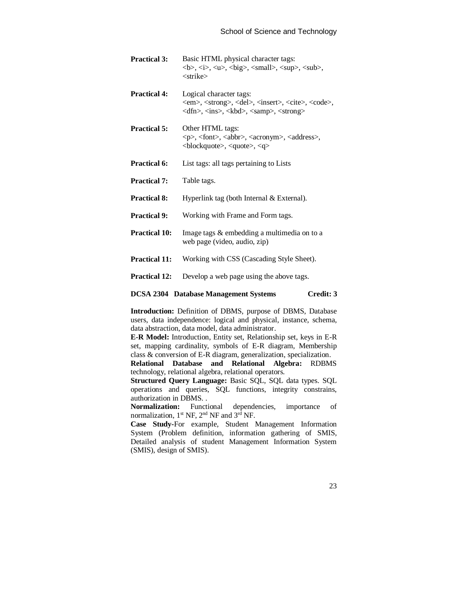| <b>Practical 3:</b>  | Basic HTML physical character tags:<br>$0, 0, 0, 0, 0, 0, 0, 0, 0, 0, 0, 0, 0, 0, 0, 0, 0, 0, 0, 0, 0, 0, 0, 0, 0, 0, 0, 0, 0, 0, 0, 0$<br><strike></strike>                                          |
|----------------------|-------------------------------------------------------------------------------------------------------------------------------------------------------------------------------------------------------|
| <b>Practical 4:</b>  | Logical character tags:<br><em>, <strong>, <del>, <insert>, <cite>, <code>,<br/><dfn>, <ins>, <kbd>, <samp>, <strong></strong></samp></kbd></ins></dfn></code></cite></insert></del></strong></em>    |
| <b>Practical 5:</b>  | Other HTML tags:<br><p>, <font>, <abbr>, <acronym>, <address>,<br/><math>\langle</math>blockquote&gt;, <math>\langle</math>quote&gt;, <math>\langle</math>q&gt;</address></acronym></abbr></font></p> |
| Practical 6:         | List tags: all tags pertaining to Lists                                                                                                                                                               |
| <b>Practical 7:</b>  | Table tags.                                                                                                                                                                                           |
| <b>Practical 8:</b>  | Hyperlink tag (both Internal & External).                                                                                                                                                             |
| <b>Practical 9:</b>  | Working with Frame and Form tags.                                                                                                                                                                     |
| <b>Practical 10:</b> | Image tags & embedding a multimedia on to a<br>web page (video, audio, zip)                                                                                                                           |
| <b>Practical 11:</b> | Working with CSS (Cascading Style Sheet).                                                                                                                                                             |
| <b>Practical 12:</b> | Develop a web page using the above tags.                                                                                                                                                              |
|                      |                                                                                                                                                                                                       |

#### **DCSA 2304 Database Management Systems Credit: 3**

**Introduction:** Definition of DBMS, purpose of DBMS, Database users, data independence: logical and physical, instance, schema, data abstraction, data model, data administrator.

**E-R Model:** Introduction, Entity set, Relationship set, keys in E-R set, mapping cardinality, symbols of E-R diagram, Membership class & conversion of E-R diagram, generalization, specialization.

**Relational Database and Relational Algebra:** RDBMS technology, relational algebra, relational operators.

**Structured Query Language:** Basic SQL, SQL data types. SQL operations and queries, SQL functions, integrity constrains, authorization in DBMS. .

**Normalization:** Functional dependencies, importance of normalization,  $1^{st}$  NF,  $2^{nd}$  NF and  $3^{rd}$  NF.

**Case Study-**For example, Student Management Information System (Problem definition, information gathering of SMIS, Detailed analysis of student Management Information System (SMIS), design of SMIS).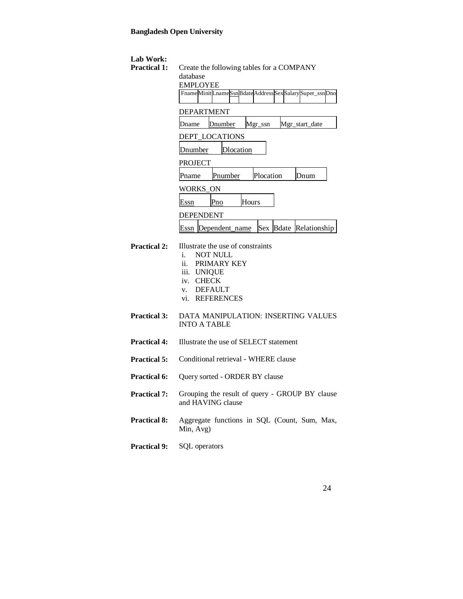| Lab Work:<br><b>Practical 1:</b> | Create the following tables for a COMPANY<br>database<br><b>EMPLOYEE</b><br>FnameMinitLnameSsnBdateAddressSexSalarySuper_ssnDno                     |
|----------------------------------|-----------------------------------------------------------------------------------------------------------------------------------------------------|
|                                  | <b>DEPARTMENT</b>                                                                                                                                   |
|                                  | Mgr_start_date<br>Dnumber<br>Mgr_ssn<br>Dname                                                                                                       |
|                                  | DEPT_LOCATIONS                                                                                                                                      |
|                                  | Dnumber<br>Dlocation                                                                                                                                |
|                                  | <b>PROJECT</b>                                                                                                                                      |
|                                  | Plocation<br>Pnumber<br>Pname<br>Dnum                                                                                                               |
|                                  | WORKS ON                                                                                                                                            |
|                                  | Hours<br>Pno<br>Essn                                                                                                                                |
|                                  | DEPENDENT                                                                                                                                           |
|                                  | Sex Bdate Relationship<br>Essn  Dependent_name                                                                                                      |
| <b>Practical 2:</b>              | Illustrate the use of constraints<br>i.<br><b>NOT NULL</b><br>ii. PRIMARY KEY<br>iii. UNIQUE<br>iv. CHECK<br>v. DEFAULT<br><b>REFERENCES</b><br>vi. |
| <b>Practical 3:</b>              | DATA MANIPULATION: INSERTING VALUES<br><b>INTO A TABLE</b>                                                                                          |
| <b>Practical 4:</b>              | Illustrate the use of SELECT statement                                                                                                              |
| <b>Practical 5:</b>              | Conditional retrieval - WHERE clause                                                                                                                |
| <b>Practical 6:</b>              | Query sorted - ORDER BY clause                                                                                                                      |
| <b>Practical 7:</b>              | Grouping the result of query - GROUP BY clause<br>and HAVING clause                                                                                 |
| <b>Practical 8:</b>              | Aggregate functions in SQL (Count, Sum, Max,<br>Min, Avg)                                                                                           |
| <b>Practical 9:</b>              | SQL operators                                                                                                                                       |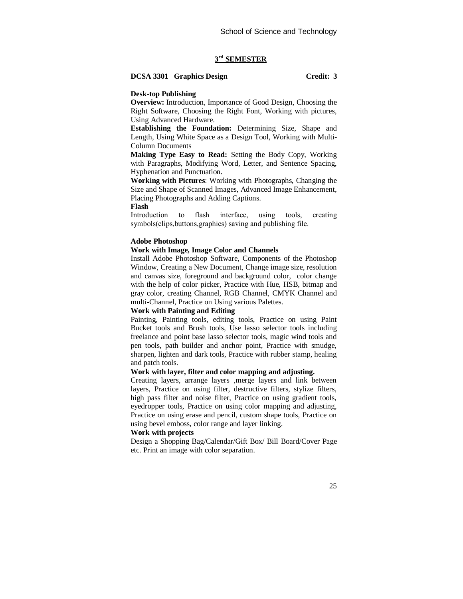# **3 rd SEMESTER**

# **DCSA 3301 Graphics Design Credit: 3**

#### **Desk-top Publishing**

**Overview:** Introduction, Importance of Good Design, Choosing the Right Software, Choosing the Right Font, Working with pictures, Using Advanced Hardware.

**Establishing the Foundation:** Determining Size, Shape and Length, Using White Space as a Design Tool, Working with Multi-Column Documents

**Making Type Easy to Read:** Setting the Body Copy, Working with Paragraphs, Modifying Word, Letter, and Sentence Spacing, Hyphenation and Punctuation.

**Working with Pictures**: Working with Photographs, Changing the Size and Shape of Scanned Images, Advanced Image Enhancement, Placing Photographs and Adding Captions.

**Flash** 

Introduction to flash interface, using tools, creating symbols(clips,buttons,graphics) saving and publishing file.

#### **Adobe Photoshop**

#### **Work with Image, Image Color and Channels**

Install Adobe Photoshop Software, Components of the Photoshop Window, Creating a New Document, Change image size, resolution and canvas size, foreground and background color, color change with the help of color picker, Practice with Hue, HSB, bitmap and gray color, creating Channel, RGB Channel, CMYK Channel and multi-Channel, Practice on Using various Palettes.

### **Work with Painting and Editing**

Painting, Painting tools, editing tools, Practice on using Paint Bucket tools and Brush tools, Use lasso selector tools including freelance and point base lasso selector tools, magic wind tools and pen tools, path builder and anchor point, Practice with smudge, sharpen, lighten and dark tools, Practice with rubber stamp, healing and patch tools.

# **Work with layer, filter and color mapping and adjusting.**

Creating layers, arrange layers ,merge layers and link between layers, Practice on using filter, destructive filters, stylize filters, high pass filter and noise filter, Practice on using gradient tools, eyedropper tools, Practice on using color mapping and adjusting, Practice on using erase and pencil, custom shape tools, Practice on using bevel emboss, color range and layer linking.

# **Work with projects**

Design a Shopping Bag/Calendar/Gift Box/ Bill Board/Cover Page etc. Print an image with color separation.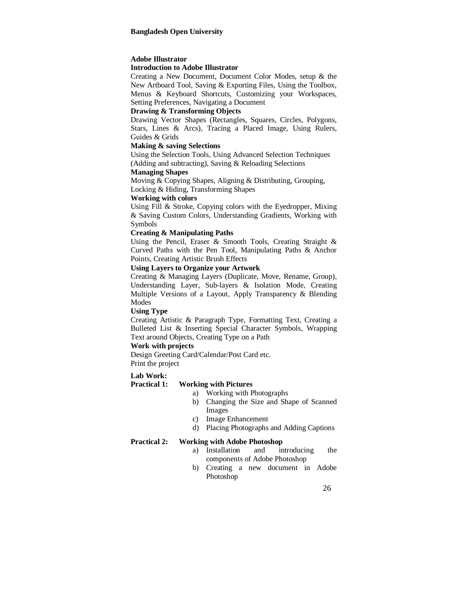#### **Adobe Illustrator**

#### **Introduction to Adobe Illustrator**

Creating a New Document, Document Color Modes, setup & the New Artboard Tool, Saving & Exporting Files, Using the Toolbox, Menus & Keyboard Shortcuts, Customizing your Workspaces, Setting Preferences, Navigating a Document

### **Drawing & Transforming Objects**

Drawing Vector Shapes (Rectangles, Squares, Circles, Polygons, Stars, Lines & Arcs), Tracing a Placed Image, Using Rulers, Guides & Grids

#### **Making & saving Selections**

Using the Selection Tools, Using Advanced Selection Techniques (Adding and subtracting), Saving & Reloading Selections

#### **Managing Shapes**

Moving & Copying Shapes, Aligning & Distributing, Grouping, Locking & Hiding, Transforming Shapes

#### **Working with colors**

Using Fill & Stroke, Copying colors with the Eyedropper, Mixing & Saving Custom Colors, Understanding Gradients, Working with Symbols

## **Creating & Manipulating Paths**

Using the Pencil, Eraser & Smooth Tools, Creating Straight & Curved Paths with the Pen Tool, Manipulating Paths & Anchor Points, Creating Artistic Brush Effects

#### **Using Layers to Organize your Artwork**

Creating & Managing Layers (Duplicate, Move, Rename, Group), Understanding Layer, Sub-layers & Isolation Mode, Creating Multiple Versions of a Layout, Apply Transparency & Blending **Modes** 

#### **Using Type**

Creating Artistic & Paragraph Type, Formatting Text, Creating a Bulleted List & Inserting Special Character Symbols, Wrapping Text around Objects, Creating Type on a Path

# **Work with projects**

Design Greeting Card/Calendar/Post Card etc. Print the project

# **Lab Work:**

# **Practical 1: Working with Pictures**

- a) Working with Photographs
- b) Changing the Size and Shape of Scanned Images
- c) Image Enhancement
- d) Placing Photographs and Adding Captions

### **Practical 2: Working with Adobe Photoshop**

- a) Installation and introducing the components of Adobe Photoshop
- b) Creating a new document in Adobe Photoshop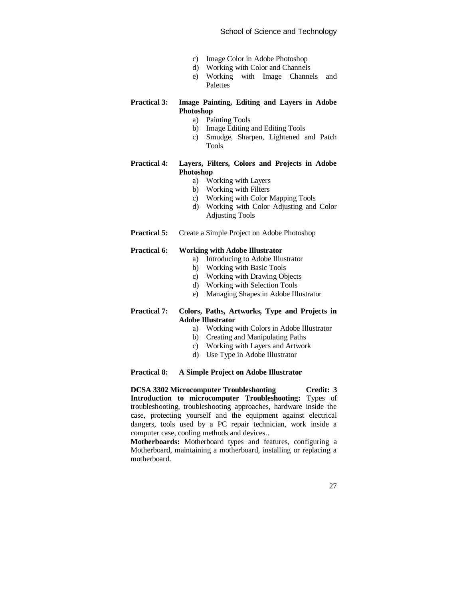- c) Image Color in Adobe Photoshop
- d) Working with Color and Channels
- e) Working with Image Channels and Palettes

# **Practical 3: Image Painting, Editing and Layers in Adobe Photoshop**

- a) Painting Tools
- b) Image Editing and Editing Tools
- c) Smudge, Sharpen, Lightened and Patch Tools

# **Practical 4: Layers, Filters, Colors and Projects in Adobe Photoshop**

- a) Working with Layers
- b) Working with Filters
- c) Working with Color Mapping Tools
- d) Working with Color Adjusting and Color Adjusting Tools
- **Practical 5:** Create a Simple Project on Adobe Photoshop

### **Practical 6: Working with Adobe Illustrator**

- a) Introducing to Adobe Illustrator
- b) Working with Basic Tools
- c) Working with Drawing Objects
- d) Working with Selection Tools
- e) Managing Shapes in Adobe Illustrator

## **Practical 7: Colors, Paths, Artworks, Type and Projects in Adobe Illustrator**

- a) Working with Colors in Adobe Illustrator
- b) Creating and Manipulating Paths
- c) Working with Layers and Artwork
- d) Use Type in Adobe Illustrator

#### **Practical 8: A Simple Project on Adobe Illustrator**

**DCSA 3302 Microcomputer Troubleshooting Credit: 3 Introduction to microcomputer Troubleshooting:** Types of troubleshooting, troubleshooting approaches, hardware inside the case, protecting yourself and the equipment against electrical dangers, tools used by a PC repair technician, work inside a computer case, cooling methods and devices..

**Motherboards:** Motherboard types and features, configuring a Motherboard, maintaining a motherboard, installing or replacing a motherboard.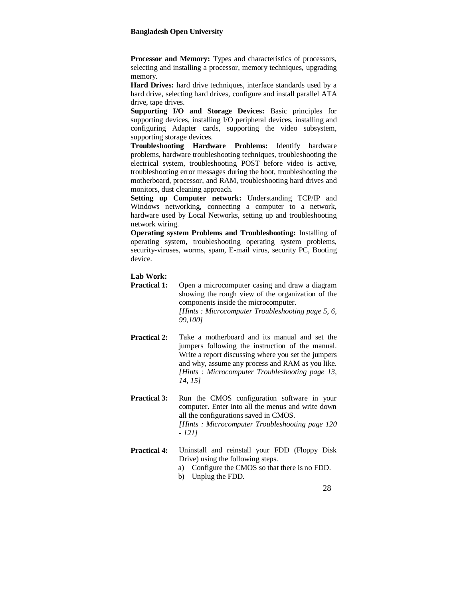**Processor and Memory:** Types and characteristics of processors, selecting and installing a processor, memory techniques, upgrading memory.

**Hard Drives:** hard drive techniques, interface standards used by a hard drive, selecting hard drives, configure and install parallel ATA drive, tape drives.

**Supporting I/O and Storage Devices:** Basic principles for supporting devices, installing I/O peripheral devices, installing and configuring Adapter cards, supporting the video subsystem, supporting storage devices.

**Troubleshooting Hardware Problems:** Identify hardware problems, hardware troubleshooting techniques, troubleshooting the electrical system, troubleshooting POST before video is active, troubleshooting error messages during the boot, troubleshooting the motherboard, processor, and RAM, troubleshooting hard drives and monitors, dust cleaning approach.

**Setting up Computer network:** Understanding TCP/IP and Windows networking, connecting a computer to a network, hardware used by Local Networks, setting up and troubleshooting network wiring.

**Operating system Problems and Troubleshooting:** Installing of operating system, troubleshooting operating system problems, security-viruses, worms, spam, E-mail virus, security PC, Booting device.

# **Lab Work:**

- **Practical 1:** Open a microcomputer casing and draw a diagram showing the rough view of the organization of the components inside the microcomputer. *[Hints : Microcomputer Troubleshooting page 5, 6, 99,100]*
- **Practical 2:** Take a motherboard and its manual and set the jumpers following the instruction of the manual. Write a report discussing where you set the jumpers and why, assume any process and RAM as you like. *[Hints : Microcomputer Troubleshooting page 13, 14, 15]*
- **Practical 3:** Run the CMOS configuration software in your computer. Enter into all the menus and write down all the configurations saved in CMOS. *[Hints : Microcomputer Troubleshooting page 120 - 121]*
- **Practical 4:** Uninstall and reinstall your FDD (Floppy Disk Drive) using the following steps. a) Configure the CMOS so that there is no FDD.
	- b) Unplug the FDD.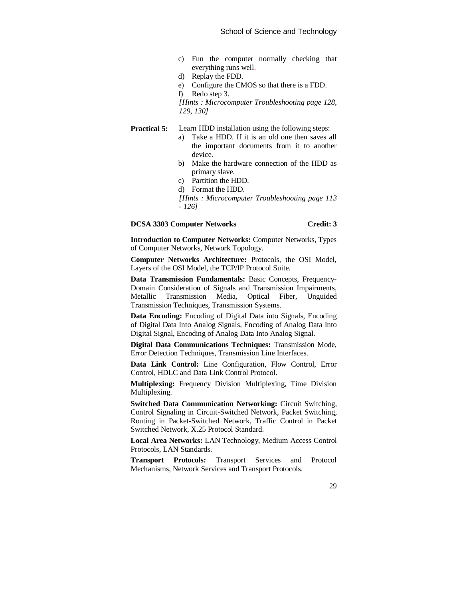- c) Fun the computer normally checking that everything runs well.
- d) Replay the FDD.
- e) Configure the CMOS so that there is a FDD.
- f) Redo step 3.

*[Hints : Microcomputer Troubleshooting page 128, 129, 130]*

# **Practical 5:** Learn HDD installation using the following steps:

- a) Take a HDD. If it is an old one then saves all the important documents from it to another device.
- b) Make the hardware connection of the HDD as primary slave.
- c) Partition the HDD.
- d) Format the HDD.
- *[Hints : Microcomputer Troubleshooting page 113 - 126]*

# **DCSA 3303 Computer Networks Credit: 3**

**Introduction to Computer Networks:** Computer Networks, Types of Computer Networks, Network Topology.

**Computer Networks Architecture:** Protocols, the OSI Model, Layers of the OSI Model, the TCP/IP Protocol Suite.

**Data Transmission Fundamentals:** Basic Concepts, Frequency-Domain Consideration of Signals and Transmission Impairments, Metallic Transmission Media, Optical Fiber, Unguided Transmission Techniques, Transmission Systems.

**Data Encoding:** Encoding of Digital Data into Signals, Encoding of Digital Data Into Analog Signals, Encoding of Analog Data Into Digital Signal, Encoding of Analog Data Into Analog Signal.

**Digital Data Communications Techniques:** Transmission Mode, Error Detection Techniques, Transmission Line Interfaces.

**Data Link Control:** Line Configuration, Flow Control, Error Control, HDLC and Data Link Control Protocol.

**Multiplexing:** Frequency Division Multiplexing, Time Division Multiplexing.

**Switched Data Communication Networking:** Circuit Switching, Control Signaling in Circuit-Switched Network, Packet Switching, Routing in Packet-Switched Network, Traffic Control in Packet Switched Network, X.25 Protocol Standard.

**Local Area Networks:** LAN Technology, Medium Access Control Protocols, LAN Standards.

**Transport Protocols:** Transport Services and Protocol Mechanisms, Network Services and Transport Protocols.